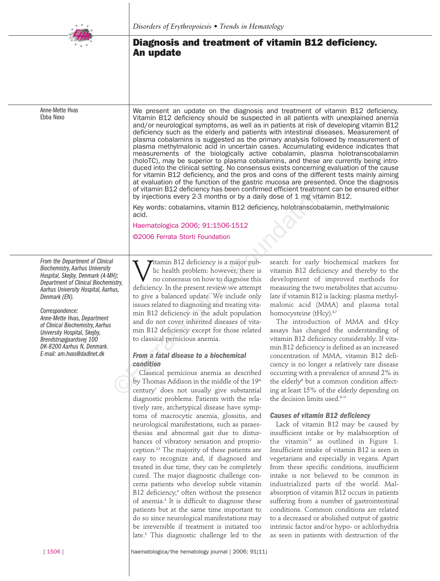

Anne-Mette Hvas Ebba Nexo

# **Diagnosis and treatment of vitamin B12 deficiency. An update**

We present an update on the diagnosis and treatment of vitamin B12 deficiency. Vitamin B12 deficiency should be suspected in all patients with unexplained anemia and/or neurological symptoms, as well as in patients at risk of developing vitamin B12 deficiency such as the elderly and patients with intestinal diseases. Measurement of plasma cobalamins is suggested as the primary analysis followed by measurement of plasma methylmalonic acid in uncertain cases. Accumulating evidence indicates that measurements of the biologically active cobalamin, plasma holotranscobalamin (holoTC), may be superior to plasma cobalamins, and these are currently being introduced into the clinical setting. No consensus exists concerning evaluation of the cause for vitamin B12 deficiency, and the pros and cons of the different tests mainly aiming at evaluation of the function of the gastric mucosa are presented. Once the diagnosis of vitamin B12 deficiency has been confirmed efficient treatment can be ensured either

by injections every 2-3 months or by a daily dose of 1 mg vitamin B12.

Key words: cobalamins, vitamin B12 deficiency, holotranscobalamin, methylmalonic

| From the Department of Clinical<br><b>Biochemistry, Aarhus University</b><br>Hospital, Skejby, Denmark (A-MH);<br>Department of Clinical Biochemistry,<br>Aarhus University Hospital, Aarhus,<br>Denmark (EN). |  |
|----------------------------------------------------------------------------------------------------------------------------------------------------------------------------------------------------------------|--|

### *Correspondence:*

*Anne-Mette Hvas, Department of Clinical Biochemistry, Aarhus University Hospital, Skejby, Brendstrupgaardsvej 100 DK-8200 Aarhus N, Denmark. E-mail: am.hvas@dadlnet.dk*

Vitamin B12 deficiency is a major pub-<br>lic health problem: however, there is<br>no consensus on how to diagnose this<br>deficiency. In the present review we attemnt lic health problem: however, there is no consensus on how to diagnose this deficiency. In the present review we attempt to give a balanced update. We include only issues related to diagnosing and treating vitamin B12 deficiency in the adult population and do not cover inherited diseases of vitaacid. Haematologica 2006; 91:1506-1512 ©2006 Ferrata Storti Foundation of vitamin B12 deficiency has been confirmed efficient treatme<br>by injections every 2-3 months or by a daily dose of 1 mg vital<br>key words: cobalamins, vitamin B12 deficiency, holotranscoba<br>acid.<br>Haematologica 2006; 91:1506

# *From a fatal disease to a biochemical condition*

to classical pernicious anemia.

min B12 deficiency except for those related

Classical pernicious anemia as described by Thomas Addison in the middle of the 19<sup>th</sup> century<sup>1</sup> does not usually give substantial diagnostic problems. Patients with the relatively rare, archetypical disease have symptoms of macrocytic anemia, glossitis, and neurological manifestations, such as paraesthesias and abnormal gait due to disturbances of vibratory sensation and proprioception. 2,3 The majority of these patients are easy to recognize and, if diagnosed and treated in due time, they can be completely cured. The major diagnostic challenge concerns patients who develop subtle vitamin B12 deficiency, <sup>4</sup> often without the presence of anemia. <sup>3</sup> It is difficult to diagnose these patients but at the same time important to do so since neurological manifestations may be irreversible if treatment is initiated too late. <sup>5</sup> This diagnostic challenge led to the

search for early biochemical markers for vitamin B12 deficiency and thereby to the development of improved methods for measuring the two metabolites that accumulate if vitamin B12 is lacking: plasma methylmalonic acid (MMA) and plasma total homocysteine (tHcy). 6,7

The introduction of MMA and tHcy assays has changed the understanding of vitamin B12 deficiency considerably. If vitamin B12 deficiency is defined as an increased concentration of MMA, vitamin B12 deficiency is no longer a relatively rare disease occurring with a prevalence of around 2% in the elderly<sup>8</sup> but a common condition affecting at least 15% of the elderly depending on the decision limits used. 9-11

# *Causes of vitamin B12 deficiency*

Lack of vitamin B12 may be caused by insufficient intake or by malabsorption of the vitamin<sup>12</sup> as outlined in Figure 1. Insufficient intake of vitamin B12 is seen in vegetarians and especially in vegans. Apart from these specific conditions, insufficient intake is not believed to be common in industrialized parts of the world. Malabsorption of vitamin B12 occurs in patients suffering from a number of gastrointestinal conditions. Common conditions are related to a decreased or abolished output of gastric intrinsic factor and/or hypo- or achlorhydria as seen in patients with destruction of the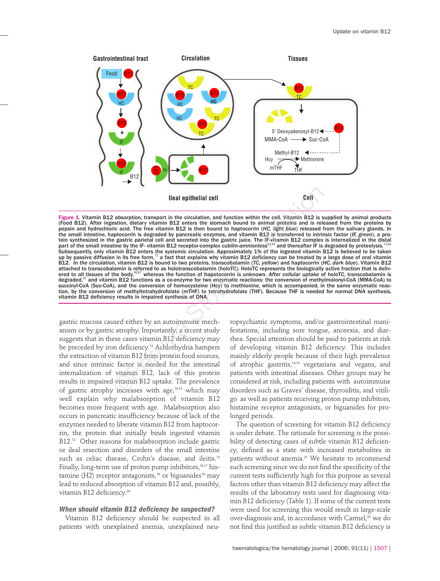

Figure 1. Vitamin B12 absorption, transport in the circulation, and function within the cell. Vitamin B12 is supplied by animal products (Food B12). After ingestion, dietary vitamin B12 enters the stomach bound to animal proteins and is released from the proteins by pepsin and hydrochloric acid. The free vitamin B12 is then bound to haptocorrin (*HC, light blue*) released from the salivary glands. In the small intestine, haptocorrin is degraded by pancreatic enzymes, and vitamin B12 is transferred to intrinsic factor (*IF, green*), a protein synthesized in the gastric parietal cell and secreted into the gastric juice. The IF-vitamin B12 complex is internalized in the distal<br>part of the small intestine by the IF- vitamin B12 receptor-complex cubilin-amnion Subsequently, only vitamin B12 enters the systemic circulation. Approximately 1% of the ingested vitamin B12 is believed to be taken up by passive diffusion in its free form, $^{\rm 12}$  a fact that explains why vitamin B12 deficiency can be treated by a large dose of oral vitamin B12. *In the circulation*, vitamin B12 is bound to two proteins, transcobalamin (*TC, yellow*) and haptocorrin (*HC, dark blue*). Vitamin B12 attached to transcobalamin is referred to as holotranscobalamin (holoTC). HoloTC represents the biologically active fraction that is delivered to all tissues of the body,<sup>66,67</sup> whereas the function of hapotocorrin is unknown. After cellular uptake of holoTC, transcobalamin is degraded,<sup>67</sup> and vitamin B12 functions as a co-enzyme for two enzymatic reactions: the conversion of methylmalonyl-CoA (MMA-CoA) to succinyl-CoA (Suc-CoA), and the conversion of homocysteine (Hcy) to methionine, which is accompanied, in the same enzymatic reaction, by the conversion of methyltetrahydrofolate (mTHF) to tetrahydrofolate (THF). Because THF is needed for normal DNA synthesis, vitamin B12 deficiency results in impaired synthesis of DNA. **IIeal epithelial cell**<br> **Resistent**, dietary vitamin B12 entertained the control of the control of control of a storting in the cell. Vitamin B12 is set in some that witamin B12 enters the storting in the storting protec

gastric mucosa caused either by an autoimmune mechanism or by gastric atrophy. Importantly, a recent study suggests that in these cases vitamin B12 deficiency may be preceded by iron deficiency. <sup>13</sup> Achlorhydria hampers the extraction of vitamin B12 from protein food sources, and since intrinsic factor is needed for the intestinal internalization of vitamin B12, lack of this protein results in impaired vitamin B12 uptake. The prevalence of gastric atrophy increases with age, 14,15 which may well explain why malabsorption of vitamin B12 becomes more frequent with age. Malabsorption also occurs in pancreatic insufficiency because of lack of the enzymes needed to liberate vitamin B12 from haptocorrin, the protein that initially binds ingested vitamin B12. <sup>12</sup> Other reasons for malabsorption include gastric or ileal resection and disorders of the small intestine such as celiac disease, Crohn's disease, and ileitis. 12 Finally, long-term use of proton pump inhibitors, 16,17 histamine (H2) receptor antagonists,<sup>18</sup> or biguanides<sup>19</sup> may lead to reduced absorption of vitamin B12 and, possibly, vitamin B12 deficiency. 20

#### *When should vitamin B12 deficiency be suspected?*

Vitamin B12 deficiency should be suspected in all patients with unexplained anemia, unexplained neu-

ropsychiatric symptoms, and/or gastrointestinal manifestations, including sore tongue, anorexia, and diarrhea. Special attention should be paid to patients at risk of developing vitamin B12 deficiency. This includes mainly elderly people because of their high prevalence of atrophic gastritis, 14,15 vegetarians and vegans, and patients with intestinal diseases. Other groups may be considered at risk, including patients with autoimmune disorders such as Graves' disease, thyroiditis, and vitiligo as well as patients receiving proton pump inhibitors, histamine receptor antagonists, or biguanides for prolonged periods.

The question of screening for vitamin B12 deficiency is under debate. The rationale for screening is the possibility of detecting cases of subtle vitamin B12 deficiency, defined as a state with increased metabolites in patients without anemia. <sup>21</sup> We hesitate to recommend such screening since we do not find the specificity of the current tests sufficiently high for this purpose as several factors other than vitamin B12 deficiency may affect the results of the laboratory tests used for diagnosing vitamin B12 deficiency (Table 1). If some of the current tests were used for screening this would result in large-scale over-diagnosis and, in accordance with Carmel, <sup>22</sup> we do not find this justified as subtle vitamin B12 deficiency is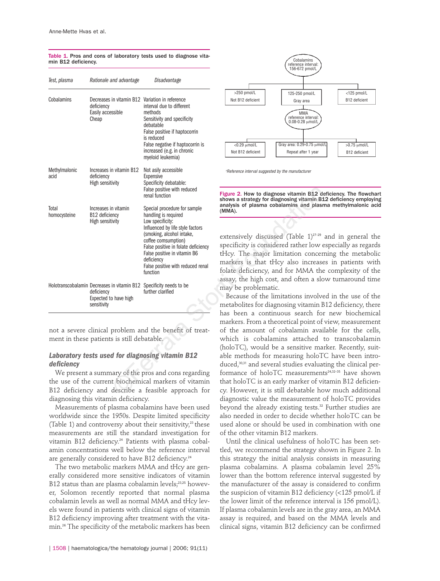| Test, plasma                                                                                                                                                                                                                          | Rationale and advantage                                                                                                                                     | Disadvantage                                                                                                                                                                                                                                                                                                                                  |                                                                                                                                                                                                                                                                                                                                                                                                                                                                                              |  |
|---------------------------------------------------------------------------------------------------------------------------------------------------------------------------------------------------------------------------------------|-------------------------------------------------------------------------------------------------------------------------------------------------------------|-----------------------------------------------------------------------------------------------------------------------------------------------------------------------------------------------------------------------------------------------------------------------------------------------------------------------------------------------|----------------------------------------------------------------------------------------------------------------------------------------------------------------------------------------------------------------------------------------------------------------------------------------------------------------------------------------------------------------------------------------------------------------------------------------------------------------------------------------------|--|
| Cobalamins                                                                                                                                                                                                                            | Decreases in vitamin B12 Variation in reference<br>deficiency<br>Easily accessible<br>Cheap                                                                 | interval due to different<br>methods<br>Sensitivity and specificity<br>debatable<br>False positive if haptocorrin<br>is reduced<br>False negative if haptocorrin is<br>increased (e.g. in chronic<br>myeloid leukemia)                                                                                                                        | >250 pmol/L<br>125-250 pmol/L<br>Not B12 deficient<br>Gray area<br>MMA<br>reference interval:<br>0.08-0.28 µmol/L<br><0.29 µmol/L<br>Gray area: 0.29-0.75 µmol/<br>Not B12 deficient<br>Repeat after 1 year                                                                                                                                                                                                                                                                                  |  |
| Methylmalonic<br>acid                                                                                                                                                                                                                 | Increases in vitamin B12<br>deficiency<br><b>High sensitivity</b>                                                                                           | Not asily accessible<br>Expensive<br>Specificity debatable:<br>False positive with reduced                                                                                                                                                                                                                                                    | <sup>*</sup> Reference interval suggested by the manufacturer<br>Figure 2. How to diagnose vitamin B12 de<br>shows a strategy for diagnosing vitamin B1<br>analysis of plasma cobalamins and plasn<br>(MMA).<br>extensively discussed (Table 1) <sup>27-29</sup><br>specificity is considered rather low e<br>tHcy. The major limitation concern<br>markers is that tHcy also increase<br>folate deficiency, and for MMA the<br>assay, the high cost, and often a slo<br>may be problematic. |  |
| Total<br>homocysteine                                                                                                                                                                                                                 | Increases in vitamin<br>B <sub>12</sub> deficiency<br>High sensitivity<br>Holotranscobalamin Decreases in vitamin B12 Specificity needs to be<br>deficiency | renal function<br>Special procedure for sample<br>handling is required<br>Low specificity:<br>Influenced by life style factors<br>(smoking, alcohol intake,<br>coffee comsumption)<br>False positive in folate deficiency<br>False positive in vitamin B6<br>deficiency<br>False positive with reduced renal<br>function<br>further clarified |                                                                                                                                                                                                                                                                                                                                                                                                                                                                                              |  |
|                                                                                                                                                                                                                                       | Expected to have high<br>sensitivity                                                                                                                        |                                                                                                                                                                                                                                                                                                                                               | Because of the limitations involve<br>metabolites for diagnosing vitamin B<br>has been a continuous search for<br>markers. From a theoretical point of                                                                                                                                                                                                                                                                                                                                       |  |
| not a severe clinical problem and the benefit of treat-<br>ment in these patients is still debatable.                                                                                                                                 |                                                                                                                                                             |                                                                                                                                                                                                                                                                                                                                               | of the amount of cobalamin avail<br>which is cobalamins attached t<br>(holoTC), would be a sensitive mai                                                                                                                                                                                                                                                                                                                                                                                     |  |
| Laboratory tests used for diagnosing vitamin B12<br>deficiency<br>We present a summary of the pros and cons regarding<br>the use of the current biochemical markers of vitamin<br>B12 deficiency and describe a feasible approach for |                                                                                                                                                             |                                                                                                                                                                                                                                                                                                                                               | able methods for measuring holoT<br>duced, <sup>30,31</sup> and several studies evaluat<br>formance of holoTC measurement<br>that holoTC is an early marker of vi<br>cy. However, it is still debatable ho                                                                                                                                                                                                                                                                                   |  |

Table 1. Pros and cons of laboratory tests used to diagnose vitamin B12 deficiency.

# *Laboratory tests used for diagnosing vitamin B12 deficiency*

We present a summary of the pros and cons regarding the use of the current biochemical markers of vitamin B12 deficiency and describe a feasible approach for diagnosing this vitamin deficiency.

Measurements of plasma cobalamins have been used worldwide since the 1950s. Despite limited specificity (Table 1) and controversy about their sensitivity, <sup>23</sup> these measurements are still the standard investigation for vitamin B12 deficiency. <sup>24</sup> Patients with plasma cobalamin concentrations well below the reference interval are generally considered to have B12 deficiency. 24

The two metabolic markers MMA and tHcy are generally considered more sensitive indicators of vitamin B12 status than are plasma cobalamin levels; 23,25 however, Solomon recently reported that normal plasma cobalamin levels as well as normal MMA and tHcy levels were found in patients with clinical signs of vitamin B12 deficiency improving after treatment with the vitamin. <sup>26</sup> The specificity of the metabolic markers has been





extensively discussed (Table 1) 27-29 and in general the specificity is considered rather low especially as regards tHcy. The major limitation concerning the metabolic markers is that tHcy also increases in patients with folate deficiency, and for MMA the complexity of the assay, the high cost, and often a slow turnaround time may be problematic.

Because of the limitations involved in the use of the metabolites for diagnosing vitamin B12 deficiency, there has been a continuous search for new biochemical markers. From a theoretical point of view, measurement of the amount of cobalamin available for the cells, which is cobalamins attached to transcobalamin (holoTC), would be a sensitive marker. Recently, suitable methods for measuring holoTC have been introduced, 30,31 and several studies evaluating the clinical performance of holoTC measurements<sup>24,32-35</sup> have shown that holoTC is an early marker of vitamin B12 deficiency. However, it is still debatable how much additional diagnostic value the measurement of holoTC provides beyond the already existing tests. <sup>32</sup> Further studies are also needed in order to decide whether holoTC can be used alone or should be used in combination with one of the other vitamin B12 markers.

Until the clinical usefulness of holoTC has been settled, we recommend the strategy shown in Figure 2. In this strategy the initial analysis consists in measuring plasma cobalamins. A plasma cobalamin level 25% lower than the bottom reference interval suggested by the manufacturer of the assay is considered to confirm the suspicion of vitamin B12 deficiency (<125 pmol/L if the lower limit of the reference interval is 156 pmol/L). If plasma cobalamin levels are in the gray area, an MMA assay is required, and based on the MMA levels and clinical signs, vitamin B12 deficiency can be confirmed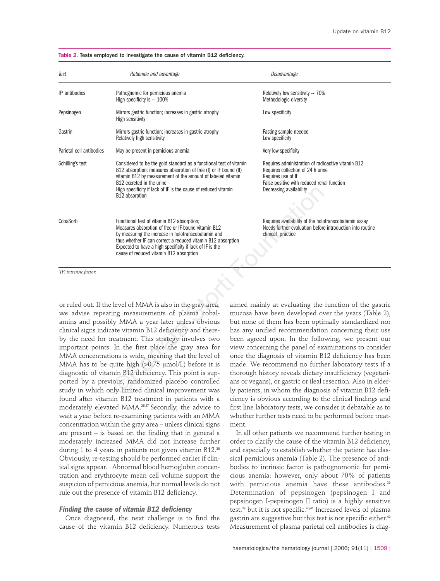| Test                               | Rationale and advantage                                                                                                                                                                                                                                                                                                                                                                                                                                                                                                                                                                                                                            |  | Disadvantage                                                                                                                                                                                                                                                                                                                                                                                                                                                                                                                                                                                                                                          |
|------------------------------------|----------------------------------------------------------------------------------------------------------------------------------------------------------------------------------------------------------------------------------------------------------------------------------------------------------------------------------------------------------------------------------------------------------------------------------------------------------------------------------------------------------------------------------------------------------------------------------------------------------------------------------------------------|--|-------------------------------------------------------------------------------------------------------------------------------------------------------------------------------------------------------------------------------------------------------------------------------------------------------------------------------------------------------------------------------------------------------------------------------------------------------------------------------------------------------------------------------------------------------------------------------------------------------------------------------------------------------|
| $IF1$ antibodies                   | Pathognomic for pernicious anemia<br>High specificity is $\sim 100\%$                                                                                                                                                                                                                                                                                                                                                                                                                                                                                                                                                                              |  | Relatively low sensitivity $\sim 70\%$<br>Methodologic diversity                                                                                                                                                                                                                                                                                                                                                                                                                                                                                                                                                                                      |
| Pepsinogen                         | Mirrors gastric function; increases in gastric atrophy<br>High sensitivity                                                                                                                                                                                                                                                                                                                                                                                                                                                                                                                                                                         |  | Low specificity                                                                                                                                                                                                                                                                                                                                                                                                                                                                                                                                                                                                                                       |
| Gastrin                            | Mirrors gastric function; increases in gastric atrophy<br>Relatively high sensitivity                                                                                                                                                                                                                                                                                                                                                                                                                                                                                                                                                              |  | Fasting sample needed<br>Low specificity                                                                                                                                                                                                                                                                                                                                                                                                                                                                                                                                                                                                              |
| Parietal cell antibodies           | May be present in pernicious anemia                                                                                                                                                                                                                                                                                                                                                                                                                                                                                                                                                                                                                |  | Very low specificity                                                                                                                                                                                                                                                                                                                                                                                                                                                                                                                                                                                                                                  |
| Schilling's test                   | Considered to be the gold standard as a functional test of vitamin<br>B12 absorption; measures absorption of free (I) or IF bound (II)<br>vitamin B12 by measurement of the amount of labeled vitamin<br>B12 excreted in the urine<br>High specificity if lack of IF is the cause of reduced vitamin<br>B12 absorption                                                                                                                                                                                                                                                                                                                             |  | Requires administration of radioactive vitamin B12<br>Requires collection of 24 h urine<br>Requires use of IF<br>False positive with reduced renal function<br>Decreasing availability                                                                                                                                                                                                                                                                                                                                                                                                                                                                |
| CobaSorb                           | Functional test of vitamin B12 absorption;<br>Measures absorption of free or IF-bound vitamin B12<br>by measuring the increase in holotranscobalamin and<br>thus whether IF can correct a reduced vitamin B12 absorption<br>Expected to have a high specificity if lack of IF is the<br>cause of reduced vitamin B12 absorption                                                                                                                                                                                                                                                                                                                    |  | Requires availability of the holotranscobalamin assay<br>Needs further evaluation before introduction into routine<br>clinical practice                                                                                                                                                                                                                                                                                                                                                                                                                                                                                                               |
| <sup>1</sup> IF: intrinsic factor. |                                                                                                                                                                                                                                                                                                                                                                                                                                                                                                                                                                                                                                                    |  |                                                                                                                                                                                                                                                                                                                                                                                                                                                                                                                                                                                                                                                       |
|                                    |                                                                                                                                                                                                                                                                                                                                                                                                                                                                                                                                                                                                                                                    |  |                                                                                                                                                                                                                                                                                                                                                                                                                                                                                                                                                                                                                                                       |
|                                    | or ruled out. If the level of MMA is also in the gray area,<br>we advise repeating measurements of plasma cobal-<br>amins and possibly MMA a year later unless obvious<br>clinical signs indicate vitamin B12 deficiency and there-<br>by the need for treatment. This strategy involves two<br>important points. In the first place the gray area for<br>MMA concentrations is wide, meaning that the level of<br>MMA has to be quite high (>0.75 µmol/L) before it is<br>diagnostic of vitamin B12 deficiency. This point is sup-<br>ported by a previous, randomized placebo controlled<br>study in which only limited clinical improvement was |  | aimed mainly at evaluating the function of the gastric<br>mucosa have been developed over the years (Table 2),<br>but none of them has been optimally standardized nor<br>has any unified recommendation concerning their use<br>been agreed upon. In the following, we present our<br>view concerning the panel of examinations to consider<br>once the diagnosis of vitamin B12 deficiency has been<br>made. We recommend no further laboratory tests if a<br>thorough history reveals dietary insufficiency (vegetari-<br>ans or vegans), or gastric or ileal resection. Also in elder-<br>ly patients, in whom the diagnosis of vitamin B12 defi- |

Table 2. Tests employed to investigate the cause of vitamin B12 deficiency.

or ruled out. If the level of MMA is also in the gray area, we advise repeating measurements of plasma cobalamins and possibly MMA a year later unless obvious clinical signs indicate vitamin B12 deficiency and thereby the need for treatment. This strategy involves two important points. In the first place the gray area for MMA concentrations is wide, meaning that the level of MMA has to be quite high  $(>0.75 \text{ \mu mol/L})$  before it is diagnostic of vitamin B12 deficiency. This point is supported by a previous, randomized placebo controlled study in which only limited clinical improvement was found after vitamin B12 treatment in patients with a moderately elevated MMA. 36,37 Secondly, the advice to wait a year before re-examining patients with an MMA concentration within the gray area – unless clinical signs are present – is based on the finding that in general a moderately increased MMA did not increase further during 1 to 4 years in patients not given vitamin B12. 38 Obviously, re-testing should be performed earlier if clinical signs appear. Abnormal blood hemoglobin concentration and erythrocyte mean cell volume support the suspicion of pernicious anemia, but normal levels do not rule out the presence of vitamin B12 deficiency.

## *Finding the cause of vitamin B12 deficiency*

Once diagnosed, the next challenge is to find the cause of the vitamin B12 deficiency. Numerous tests aimed mainly at evaluating the function of the gastric mucosa have been developed over the years (Table 2), but none of them has been optimally standardized nor has any unified recommendation concerning their use been agreed upon. In the following, we present our view concerning the panel of examinations to consider once the diagnosis of vitamin B12 deficiency has been made. We recommend no further laboratory tests if a thorough history reveals dietary insufficiency (vegetarians or vegans), or gastric or ileal resection. Also in elderly patients, in whom the diagnosis of vitamin B12 deficiency is obvious according to the clinical findings and first line laboratory tests, we consider it debatable as to whether further tests need to be performed before treatment.

In all other patients we recommend further testing in order to clarify the cause of the vitamin B12 deficiency, and especially to establish whether the patient has classical pernicious anemia (Table 2). The presence of antibodies to intrinsic factor is pathognomonic for pernicious anemia: however, only about 70% of patients with pernicious anemia have these antibodies. 39 Determination of pepsinogen (pepsinogen I and pepsinogen I-pepsinogen II ratio) is a highly sensitive test, <sup>39</sup> but it is not specific. 40,41 Increased levels of plasma gastrin are suggestive but this test is not specific either. 42 Measurement of plasma parietal cell antibodies is diag-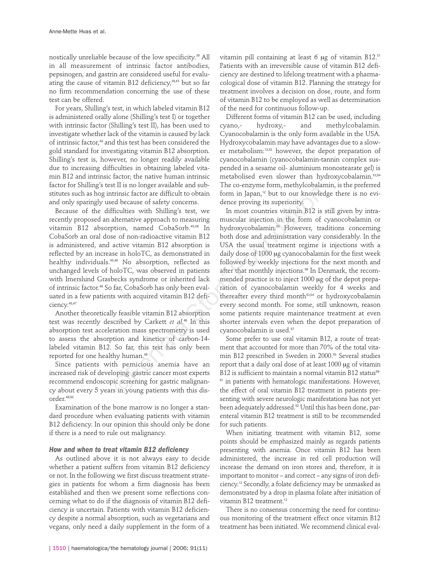nostically unreliable because of the low specificity. <sup>39</sup> All in all measurement of intrinsic factor antibodies, pepsinogen, and gastrin are considered useful for evaluating the cause of vitamin B12 deficiency, 39,43 but so far no firm recommendation concerning the use of these test can be offered.

For years, Shilling's test, in which labeled vitamin B12 is administered orally alone (Shilling's test I) or together with intrinsic factor (Shilling's test II), has been used to investigate whether lack of the vitamin is caused by lack of intrinsic factor, <sup>44</sup> and this test has been considered the gold standard for investigating vitamin B12 absorption. Shilling's test is, however, no longer readily available due to increasing difficulties in obtaining labeled vitamin B12 and intrinsic factor; the native human intrinsic factor for Shilling's test II is no longer available and substitutes such as hog intrinsic factor are difficult to obtain and only sparingly used because of safety concerns.

Because of the difficulties with Shilling's test, we recently proposed an alternative approach to measuring vitamin B12 absorption, named CobaSorb. 45,46 In CobaSorb an oral dose of non-radioactive vitamin B12 is administered, and active vitamin B12 absorption is reflected by an increase in holoTC, as demonstrated in healthy individuals. 45,46 No absorption, reflected as unchanged levels of holoTC, was observed in patients with Imerslund Grasbecks syndrome or inherited lack of intrinsic factor. <sup>46</sup> So far, CobaSorb has only been evaluated in a few patients with acquired vitamin B12 deficiency. 45,47

Another theoretically feasible vitamin B12 absorption test was recently described by Carkett *et al*. <sup>48</sup> In this absorption test acceleration mass spectrometry is used to assess the absorption and kinetics of carbon-14 labeled vitamin B12. So far, this test has only been reported for one healthy human. 48

Since patients with pernicious anemia have an increased risk of developing gastric cancer most experts recommend endoscopic screening for gastric malignancy about every 5 years in young patients with this disorder. 49,50

Examination of the bone marrow is no longer a standard procedure when evaluating patients with vitamin B12 deficiency. In our opinion this should only be done if there is a need to rule out malignancy.

## *How and when to treat vitamin B12 deficiency*

As outlined above it is not always easy to decide whether a patient suffers from vitamin B12 deficiency or not. In the following we first discuss treatment strategies in patients for whom a firm diagnosis has been established and then we present some reflections concerning what to do if the diagnosis of vitamin B12 deficiency is uncertain. Patients with vitamin B12 deficiency despite a normal absorption, such as vegetarians and vegans, only need a daily supplement in the form of a

vitamin pill containing at least 6 µg of vitamin B12. 51 Patients with an irreversible cause of vitamin B12 deficiency are destined to lifelong treatment with a pharmacological dose of vitamin B12. Planning the strategy for treatment involves a decision on dose, route, and form of vitamin B12 to be employed as well as determination of the need for continuous follow-up.

Different forms of vitamin B12 can be used, including cyano,- hydroxy,- and methylcobalamin. Cyanocobalamin is the only form available in the USA. Hydroxycobalamin may have advantages due to a slower metabolism: 12,52 however, the depot preparation of cyanocobalamin (cyanocobalamin-tannin complex suspended in a sesame oil- aluminium monostearate gel) is metabolised even slower than hydroxycobalamin. 53,54 The co-enzyme form, methylcobalamin, is the preferred form in Japan, <sup>12</sup> but to our knowledge there is no evidence proving its superiority.

In most countries vitamin B12 is still given by intramuscular injection in the form of cyanocobalamin or hydroxycobalamin. <sup>55</sup> However, traditions concerning both dose and administration vary considerably. In the USA the usual treatment regime is injections with a daily dose of 1000 µg cyanocobalamin for the first week followed by weekly injections for the next month and after that monthly injections. <sup>56</sup> In Denmark, the recommended practice is to inject 1000 µg of the depot preparation of cyanocobalamin weekly for 4 weeks and thereafter every third month<sup>53,54</sup> or hydroxycobalamin every second month. For some, still unknown, reason some patients require maintenance treatment at even shorter intervals even when the depot preparation of cyanocobalamin is used. 57 Extrained Manuson and the context of the context and the singular context and the storic storic decays of safety concerns.<br>
The thristic factor are difficult to obtain form in Japan,<sup>12</sup> but to our knowled<br>
ed because of

Some prefer to use oral vitamin B12, a route of treatment that accounted for more than 70% of the total vitamin B12 prescribed in Sweden in 2000. <sup>55</sup> Several studies report that a daily oral dose of at least 1000 µg of vitamin B12 is sufficient to maintain a normal vitamin B12 status<sup>58-</sup> <sup>61</sup> in patients with hematologic manifestations. However, the effect of oral vitamin B12 treatment in patients presenting with severe neurologic manifestations has not yet been adequately addressed. <sup>62</sup> Until this has been done, parenteral vitamin B12 treatment is still to be recommended for such patients.

When initiating treatment with vitamin B12, some points should be emphasized mainly as regards patients presenting with anemia. Once vitamin B12 has been administered, the increase in red cell production will increase the demand on iron stores and, therefore, it is important to monitor – and correct – any signs of iron deficiency. <sup>12</sup> Secondly, a folate deficiency may be unmasked as demonstrated by a drop in plasma folate after initiation of vitamin B12 treatment. 12

There is no consensus concerning the need for continuous monitoring of the treatment effect once vitamin B12 treatment has been initiated. We recommend clinical eval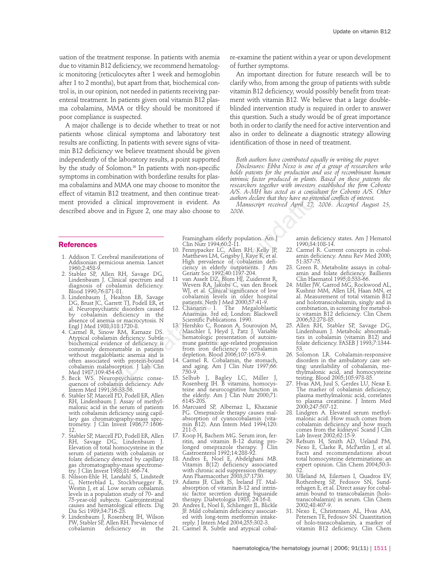uation of the treatment response. In patients with anemia due to vitamin B12 deficiency, we recommend hematologic monitoring (reticulocytes after 1 week and hemoglobin after 1 to 2 months), but apart from that, biochemical control is, in our opinion, not needed in patients receiving parenteral treatment. In patients given oral vitamin B12 plasma cobalamins, MMA or tHcy should be monitored if poor compliance is suspected.

A major challenge is to decide whether to treat or not patients whose clinical symptoms and laboratory test results are conflicting. In patients with severe signs of vitamin B12 deficiency we believe treatment should be given independently of the laboratory results, a point supported by the study of Solomon. <sup>26</sup> In patients with non-specific symptoms in combination with borderline results for plasma cobalamins and MMA one may choose to monitor the effect of vitamin B12 treatment, and then continue treatment provided a clinical improvement is evident. As described above and in Figure 2, one may also choose to

## **References**

- 1. Addison T. Cerebral manifestations of Addisonian pernicious anemia. Lancet 1960;2:458-9.
- 2. Stabler SP, Allen RH, Savage DG, Lindenbaum J. Clinical spectrum and diagnosis of cobalamin deficiency. Blood 1990;76:871-81.
- 3. Lindenbaum J, Healton EB, Savage DG, Brust JC, Garrett TJ, Podell ER, et al. Neuropsychiatric disorders caused by cobalamin deficiency in the absence of anemia or macrocytosis. N Engl J Med 1988;318:1720-8.
- 4. Carmel R, Sinow RM, Karnaze DS. Atypical cobalamin deficiency. Subtle biochemical evidence of deficiency is commonly demonstrable in patients without megaloblastic anemia and is often associated with protein-bound cobalamin malabsorption. J Lab Clin Med 1987;109:454-63.
- 5. Beck WS. Neuropsychiatric consequences of cobalamin deficiency. Adv Intern Med 1991;36:33-56.
- 6. Stabler SP, Marcell PD, Podell ER, Allen RH, Lindenbaum J. Assay of methylmalonic acid in the serum of patients with cobalamin deficiency using capillary gas chromatography-mass spectrometry. J Clin Invest 1986;77:1606- 12.
- 7. Stabler SP, Marcell PD, Podell ER, Allen RH, Savage DG, Lindenbaum J. Elevation of total homocysteine in the serum of patients with cobalamin or folate deficiency detected by capillary gas chromatography-mass spectrometry. J Clin Invest 1988;81:466-74.
- 8. Nilsson-Ehle H, Landahl S, Lindstedt G, Netterblad L, Stockbruegger R, Westin J, et al. Low serum cobalamin levels in a population study of 70- and 75-year-old subjects. Gastrointestinal causes and hematological effects. Dig Dis Sci 1989;34:716-23.
- 9. Lindenbaum J, Rosenberg IH, Wilson PW, Stabler SP, Allen RH. Prevalence of cobalamin deficiency in the

re-examine the patient within a year or upon development of further symptoms.

An important direction for future research will be to clarify who, from among the group of patients with subtle vitamin B12 deficiency, would possibly benefit from treatment with vitamin B12. We believe that a large doubleblinded intervention study is required in order to answer this question. Such a study would be of great importance both in order to clarify the need for active intervention and also in order to delineate a diagnostic strategy allowing identification of those in need of treatment.

*Both authors have contributed equally in writing the paper. Disclosures: Ebba Nexo is one of a group of researchers who holds patents for the production and use of recombinant human intrinsic factor produced in plants. Based on these patents the researchers together with investors established the firm Cobento A/S. A-MH has acted as a consultant for Cobento A/S. Other authors declare that they have no potential conflicts of interest.*

*Manuscript received April 27, 2006. Accepted August 25, 2006.*

Framingham elderly population. Am J Clin Nutr 1994;60:2-11.

- 10. Pennypacker LC, Allen RH, Kelly JP, Matthews LM, Grigsby J, Kaye K, et al. High prevalence of cobalamin deficiency in elderly outpatients. J Am Geriatr Soc 1992;40:1197-204.
- 11 van Asselt DZ, Blom HJ, Zuiderent R, Wevers RA, Jakobs C, van den Broek WJ, et al. Clinical significance of low cobalamin levels in older hospital patients. Neth J Med 2000;57:41-9.
- 12. Chanarin I. The Megaloblastic Anaemias. 3rd ed; London: Blackwell Scientific Publications. 1990.
- 13. Hershko C, Ronson A, Souroujon M, Maschler I, Heyd J, Patz J. Variable hematologic presentation of autoimmune gastritis: age-related progression from iron deficiency to cobalamin depletion. Blood 2006;107:1673-9. Framino the state of the matrix of the matrix of the matrix of the and the continue tract. AS A-MH has acted as a consultar chiral dimprovement is evident. As *allowed date that they have no potential* diminal efficing 2,
	- 14. Carmel R. Cobalamin, the stomach, and aging. Am J Clin Nutr 1997;66: 750-9.
	- 15. Selhub J, Bagley LC, Miller J, Rosenberg IH. B vitamins, homocysteine and neurocognitive function in the elderly. Am J Clin Nutr 2000;71: 614S-20S.
	- 16. Marcuard SP, Albernaz L, Khazanie PG. Omeprazole therapy causes malabsorption of cyanocobalamin (vitamin B12). Ann Intern Med 1994;120: 211-5.
	- 17. Koop H, Bachem MG. Serum iron, ferritin, and vitamin B-12 during prolonged omeprazole therapy. J Clin Gastroenterol 1992;14:288-92.
	- 18. Andres E, Noel E, Abdelghani MB. Vitamin B(12) deficiency associated with chronic acid suppression therapy. Ann Pharmacother 2003;37:1730.
	- 19. Adams JF, Clark JS, Ireland JT. Malabsorption of vitamin B-12 and intrinsic factor secretion during biguanide therapy. Diabetologia 1983; 24:16-8.
	- 20. Andres E, Noel E, Schlienger JL, Blickle JF. Mild cobalamin deficiency associated with long-term metformin intakereply. J Intern Med 2004;255:302-3.
	- 21. Carmel R. Subtle and atypical cobal-

amin deficiency states. Am J Hematol 1990;34:108-14.

- 22. Carmel R. Current concepts in cobalamin deficiency. Annu Rev Med 2000; 51:357-75.
- 23. Green R. Metabolite assays in cobalamin and folate deficiency. Baillieres Clin Haematol 1995;8:533-66.
- 24. Miller JW, Garrod MG, Rockwood AL, Kushnir MM, Allen LH, Haan MN, et al. Measurement of total vitamin B12 and holotranscobalamin, singly and in combination, in screening for metabolic vitamin B12 deficiency. Clin Chem 2006;52:278-85.
- 25. Allen RH, Stabler SP, Savage DG, Lindenbaum J. Metabolic abnormalities in cobalamin (vitamin B12) and folate deficiency. FASEB J 1993;7:1344- 53.
- 26. Solomon LR. Cobalamin-responsive disorders in the ambulatory care setting: unreliability of cobalamin, methylmalonic acid, and homocysteine testing. Blood 2005;105:978-85.
- 27. Hvas AM, Juul S, Gerdes LU, Nexø E. The marker of cobalamin deficiency, plasma methylmalonic acid, correlates to plasma creatinine. J Intern Med 2000;247:507-12.
- 28. Lindgren A. Elevated serum methylmalonic acid. How much comes from cobalamin deficiency and how much comes from the kidneys? Scand J Clin Lab Invest 2002;62:15-9.
- 29. Refsum H, Smith AD, Ueland PM, Nexo E, Clarke R, McPartlin J, et al. Facts and recommendations about total homocysteine determinations: an expert opinion. Clin Chem 2004;50:3- 32.
- 30. Ulleland M, Eilertsen I, Quadros EV, Rothenberg SP, Fedosov SN, Sundrehagen E, et al. Direct assay for cobalamin bound to transcobalamin (holotranscobalamin) in serum. Clin Chem 2002;48:407-9.
- 31. Nexo E, Christensen AL, Hvas AM, Petersen TE, Fedosov SN. Quantitation of holo-transcobalamin, a marker of vitamin B12 deficiency. Clin Chem